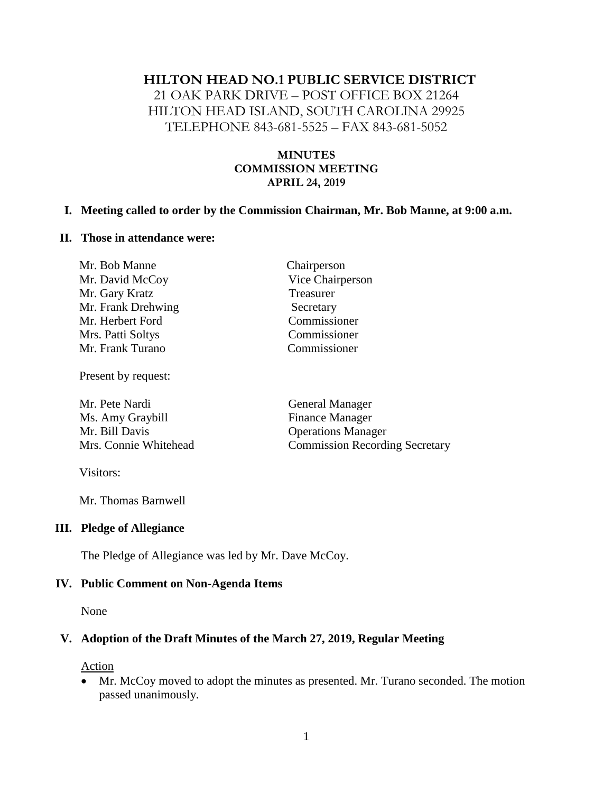#### **HILTON HEAD NO.1 PUBLIC SERVICE DISTRICT**

21 OAK PARK DRIVE – POST OFFICE BOX 21264 HILTON HEAD ISLAND, SOUTH CAROLINA 29925 TELEPHONE 843-681-5525 – FAX 843-681-5052

#### **MINUTES COMMISSION MEETING APRIL 24, 2019**

#### **I. Meeting called to order by the Commission Chairman, Mr. Bob Manne, at 9:00 a.m.**

#### **II. Those in attendance were:**

| Mr. Bob Manne      | Chairperson      |
|--------------------|------------------|
| Mr. David McCoy    | Vice Chairperson |
| Mr. Gary Kratz     | Treasurer        |
| Mr. Frank Drehwing | Secretary        |
| Mr. Herbert Ford   | Commissioner     |
| Mrs. Patti Soltys  | Commissioner     |
| Mr. Frank Turano   | Commissioner     |
|                    |                  |

Present by request:

Mr. Pete Nardi General Manager Ms. Amy Graybill Finance Manager Mr. Bill Davis Operations Manager Mrs. Connie Whitehead Commission Recording Secretary

Visitors:

Mr. Thomas Barnwell

#### **III. Pledge of Allegiance**

The Pledge of Allegiance was led by Mr. Dave McCoy.

#### **IV. Public Comment on Non-Agenda Items**

None

#### **V. Adoption of the Draft Minutes of the March 27, 2019, Regular Meeting**

Action

• Mr. McCoy moved to adopt the minutes as presented. Mr. Turano seconded. The motion passed unanimously.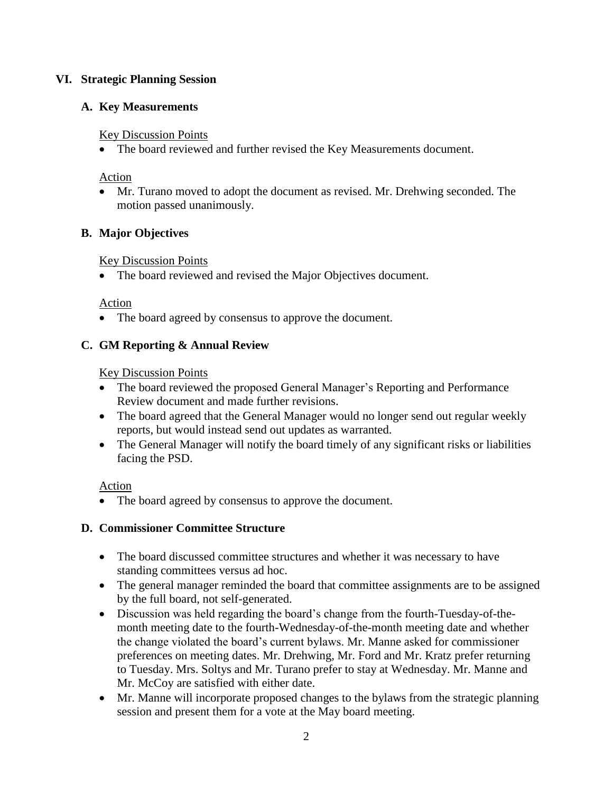### **VI. Strategic Planning Session**

## **A. Key Measurements**

### Key Discussion Points

• The board reviewed and further revised the Key Measurements document.

### Action

• Mr. Turano moved to adopt the document as revised. Mr. Drehwing seconded. The motion passed unanimously.

## **B. Major Objectives**

### Key Discussion Points

• The board reviewed and revised the Major Objectives document.

### Action

• The board agreed by consensus to approve the document.

# **C. GM Reporting & Annual Review**

## Key Discussion Points

- The board reviewed the proposed General Manager's Reporting and Performance Review document and made further revisions.
- The board agreed that the General Manager would no longer send out regular weekly reports, but would instead send out updates as warranted.
- The General Manager will notify the board timely of any significant risks or liabilities facing the PSD.

# Action

• The board agreed by consensus to approve the document.

# **D. Commissioner Committee Structure**

- The board discussed committee structures and whether it was necessary to have standing committees versus ad hoc.
- The general manager reminded the board that committee assignments are to be assigned by the full board, not self-generated.
- Discussion was held regarding the board's change from the fourth-Tuesday-of-themonth meeting date to the fourth-Wednesday-of-the-month meeting date and whether the change violated the board's current bylaws. Mr. Manne asked for commissioner preferences on meeting dates. Mr. Drehwing, Mr. Ford and Mr. Kratz prefer returning to Tuesday. Mrs. Soltys and Mr. Turano prefer to stay at Wednesday. Mr. Manne and Mr. McCoy are satisfied with either date.
- Mr. Manne will incorporate proposed changes to the bylaws from the strategic planning session and present them for a vote at the May board meeting.